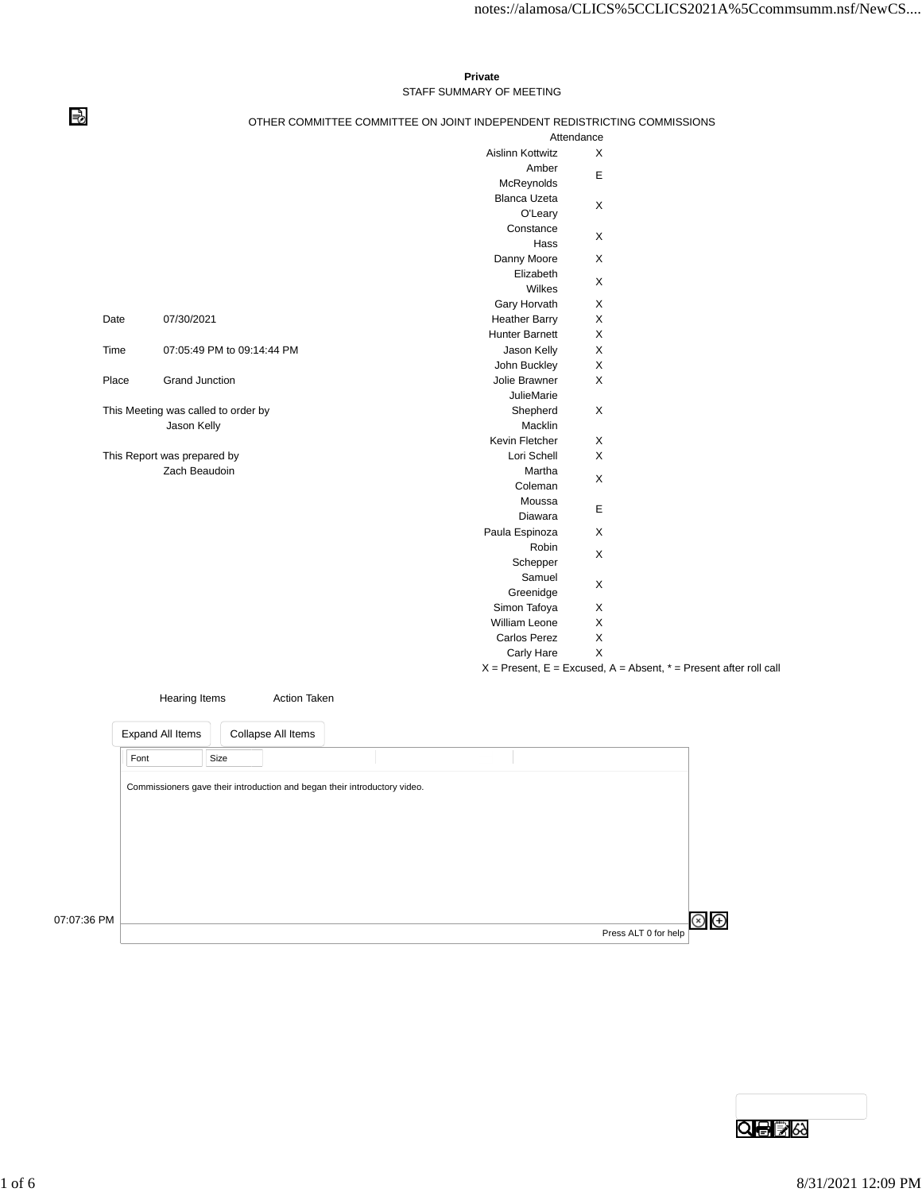## **Private** STAFF SUMMARY OF MEETING

## OTHER COMMITTEE COMMITTEE ON JOINT INDEPENDENT REDISTRICTING COMMISSIONS

|       |                                     |                     |                         | Attendance                                                            |  |
|-------|-------------------------------------|---------------------|-------------------------|-----------------------------------------------------------------------|--|
|       |                                     |                     | <b>Aislinn Kottwitz</b> | X                                                                     |  |
|       |                                     |                     | Amber                   |                                                                       |  |
|       |                                     |                     | McReynolds              | E                                                                     |  |
|       |                                     |                     | <b>Blanca Uzeta</b>     |                                                                       |  |
|       |                                     |                     | O'Leary                 | X                                                                     |  |
|       |                                     |                     | Constance               |                                                                       |  |
|       |                                     |                     | Hass                    | X                                                                     |  |
|       |                                     |                     | Danny Moore             | X                                                                     |  |
|       |                                     |                     | Elizabeth               |                                                                       |  |
|       |                                     |                     | Wilkes                  | X                                                                     |  |
|       |                                     |                     | Gary Horvath            | X                                                                     |  |
| Date  | 07/30/2021                          |                     | <b>Heather Barry</b>    | X                                                                     |  |
|       |                                     |                     | Hunter Barnett          | X                                                                     |  |
| Time  | 07:05:49 PM to 09:14:44 PM          |                     | Jason Kelly             | X                                                                     |  |
|       |                                     |                     | John Buckley            | X                                                                     |  |
| Place | <b>Grand Junction</b>               |                     | Jolie Brawner           | X                                                                     |  |
|       |                                     |                     | <b>JulieMarie</b>       |                                                                       |  |
|       | This Meeting was called to order by |                     | Shepherd                | X                                                                     |  |
|       | Jason Kelly                         |                     | Macklin                 |                                                                       |  |
|       |                                     |                     | Kevin Fletcher          | X                                                                     |  |
|       | This Report was prepared by         |                     | Lori Schell             | X                                                                     |  |
|       | Zach Beaudoin                       |                     | Martha                  |                                                                       |  |
|       |                                     |                     | Coleman                 | X                                                                     |  |
|       |                                     |                     | Moussa                  |                                                                       |  |
|       |                                     |                     | Diawara                 | E                                                                     |  |
|       |                                     |                     | Paula Espinoza          | X                                                                     |  |
|       |                                     |                     | Robin                   |                                                                       |  |
|       |                                     |                     | Schepper                | X                                                                     |  |
|       |                                     |                     | Samuel                  |                                                                       |  |
|       |                                     |                     | Greenidge               | X                                                                     |  |
|       |                                     |                     | Simon Tafoya            | X                                                                     |  |
|       |                                     |                     | William Leone           | X                                                                     |  |
|       |                                     |                     | Carlos Perez            | $\mathsf X$                                                           |  |
|       |                                     |                     | Carly Hare              | X                                                                     |  |
|       |                                     |                     |                         | $X =$ Present, E = Excused, A = Absent, $* =$ Present after roll call |  |
|       |                                     |                     |                         |                                                                       |  |
|       | <b>Hearing Items</b>                | <b>Action Taken</b> |                         |                                                                       |  |

| Font        |                                                                           |  |  |
|-------------|---------------------------------------------------------------------------|--|--|
|             | Size                                                                      |  |  |
|             | Commissioners gave their introduction and began their introductory video. |  |  |
|             |                                                                           |  |  |
|             |                                                                           |  |  |
|             |                                                                           |  |  |
|             |                                                                           |  |  |
|             |                                                                           |  |  |
| 07:07:36 PM |                                                                           |  |  |

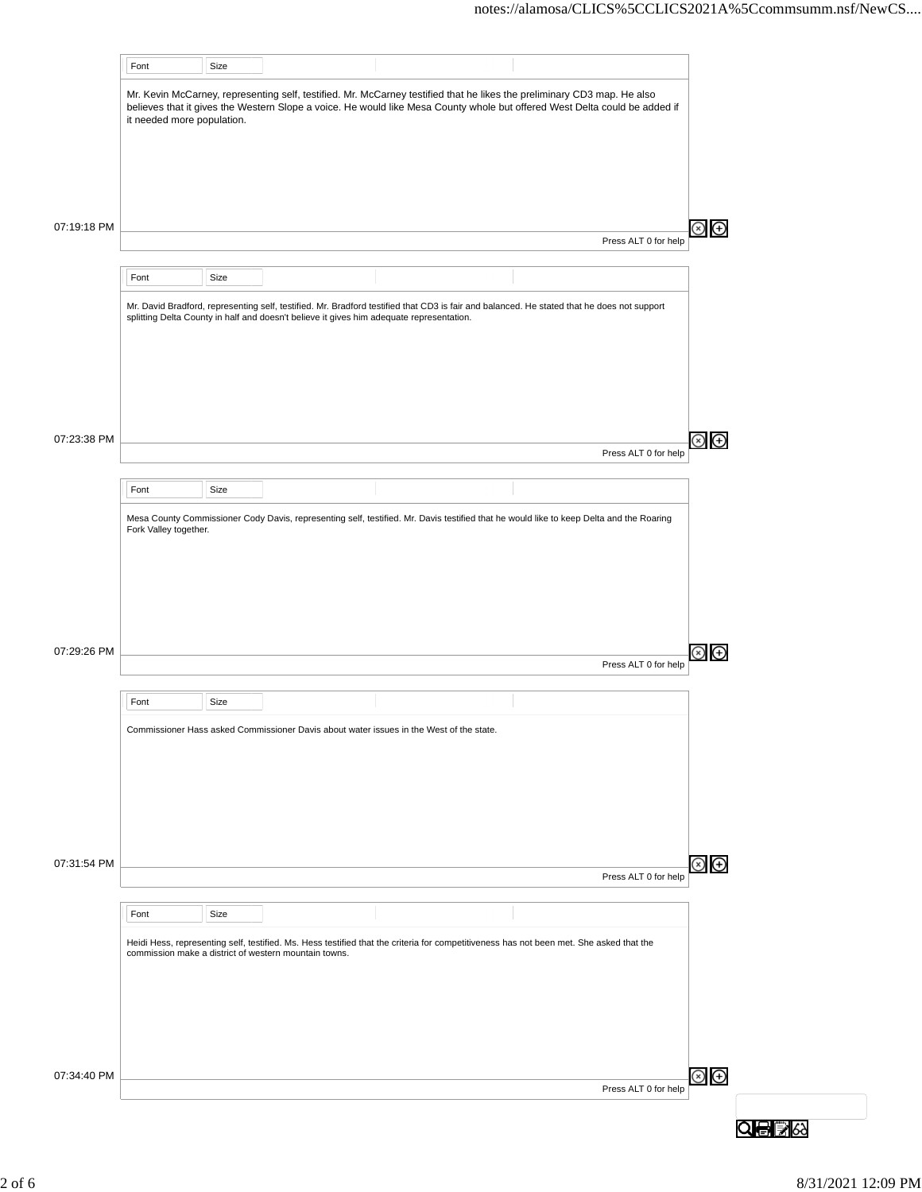|             | Font                       | Size |                                                                                          |                                                                                                                                                                                                                                                       |                      |         |
|-------------|----------------------------|------|------------------------------------------------------------------------------------------|-------------------------------------------------------------------------------------------------------------------------------------------------------------------------------------------------------------------------------------------------------|----------------------|---------|
|             | it needed more population. |      |                                                                                          | Mr. Kevin McCarney, representing self, testified. Mr. McCarney testified that he likes the preliminary CD3 map. He also<br>believes that it gives the Western Slope a voice. He would like Mesa County whole but offered West Delta could be added if |                      |         |
|             |                            |      |                                                                                          |                                                                                                                                                                                                                                                       |                      |         |
| 07:19:18 PM |                            |      |                                                                                          |                                                                                                                                                                                                                                                       |                      | ⊗<br>⊕  |
|             |                            |      |                                                                                          |                                                                                                                                                                                                                                                       | Press ALT 0 for help |         |
|             | Font                       | Size |                                                                                          |                                                                                                                                                                                                                                                       |                      |         |
|             |                            |      | splitting Delta County in half and doesn't believe it gives him adequate representation. | Mr. David Bradford, representing self, testified. Mr. Bradford testified that CD3 is fair and balanced. He stated that he does not support                                                                                                            |                      |         |
| 07:23:38 PM |                            |      |                                                                                          |                                                                                                                                                                                                                                                       | Press ALT 0 for help | 8)<br>④ |
|             |                            |      |                                                                                          |                                                                                                                                                                                                                                                       |                      |         |
|             | Font                       | Size |                                                                                          |                                                                                                                                                                                                                                                       |                      |         |
|             | Fork Valley together.      |      |                                                                                          | Mesa County Commissioner Cody Davis, representing self, testified. Mr. Davis testified that he would like to keep Delta and the Roaring                                                                                                               |                      |         |
| 07:29:26 PM |                            |      |                                                                                          |                                                                                                                                                                                                                                                       | Press ALT 0 for help | ⊕       |
|             | Font                       | Size |                                                                                          |                                                                                                                                                                                                                                                       |                      |         |
|             |                            |      |                                                                                          | Commissioner Hass asked Commissioner Davis about water issues in the West of the state.                                                                                                                                                               |                      |         |
| 07:31:54 PM |                            |      |                                                                                          |                                                                                                                                                                                                                                                       | Press ALT 0 for help | ව<br>ල  |
|             | Font                       | Size |                                                                                          |                                                                                                                                                                                                                                                       |                      |         |
|             |                            |      | commission make a district of western mountain towns.                                    | Heidi Hess, representing self, testified. Ms. Hess testified that the criteria for competitiveness has not been met. She asked that the                                                                                                               |                      |         |
| 07:34:40 PM |                            |      |                                                                                          |                                                                                                                                                                                                                                                       |                      | ව<br>ම  |
|             |                            |      |                                                                                          |                                                                                                                                                                                                                                                       | Press ALT 0 for help | QÐB     |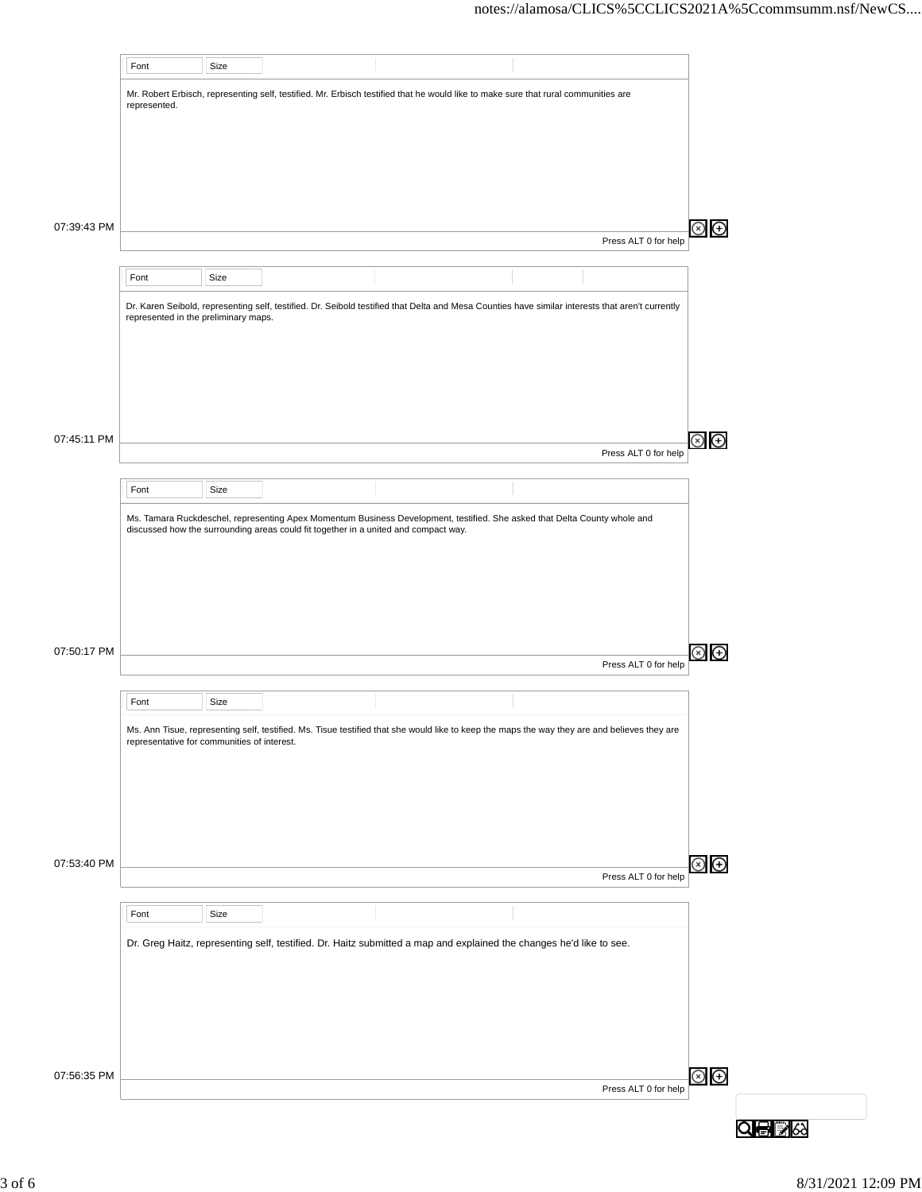|             | Font                                        | Size |                                                                                     |                                                                                                                                                  |                      |                |
|-------------|---------------------------------------------|------|-------------------------------------------------------------------------------------|--------------------------------------------------------------------------------------------------------------------------------------------------|----------------------|----------------|
|             |                                             |      |                                                                                     | Mr. Robert Erbisch, representing self, testified. Mr. Erbisch testified that he would like to make sure that rural communities are               |                      |                |
|             | represented.                                |      |                                                                                     |                                                                                                                                                  |                      |                |
|             |                                             |      |                                                                                     |                                                                                                                                                  |                      |                |
|             |                                             |      |                                                                                     |                                                                                                                                                  |                      |                |
|             |                                             |      |                                                                                     |                                                                                                                                                  |                      |                |
| 07:39:43 PM |                                             |      |                                                                                     |                                                                                                                                                  |                      | ⊕              |
|             |                                             |      |                                                                                     |                                                                                                                                                  | Press ALT 0 for help |                |
|             | Font                                        | Size |                                                                                     |                                                                                                                                                  |                      |                |
|             |                                             |      |                                                                                     | Dr. Karen Seibold, representing self, testified. Dr. Seibold testified that Delta and Mesa Counties have similar interests that aren't currently |                      |                |
|             | represented in the preliminary maps.        |      |                                                                                     |                                                                                                                                                  |                      |                |
|             |                                             |      |                                                                                     |                                                                                                                                                  |                      |                |
|             |                                             |      |                                                                                     |                                                                                                                                                  |                      |                |
|             |                                             |      |                                                                                     |                                                                                                                                                  |                      |                |
|             |                                             |      |                                                                                     |                                                                                                                                                  |                      |                |
| 07:45:11 PM |                                             |      |                                                                                     |                                                                                                                                                  | Press ALT 0 for help | ⊗<br>⊕         |
|             |                                             |      |                                                                                     |                                                                                                                                                  |                      |                |
|             | Font                                        | Size |                                                                                     |                                                                                                                                                  |                      |                |
|             |                                             |      | discussed how the surrounding areas could fit together in a united and compact way. | Ms. Tamara Ruckdeschel, representing Apex Momentum Business Development, testified. She asked that Delta County whole and                        |                      |                |
| 07:50:17 PM |                                             |      |                                                                                     |                                                                                                                                                  |                      | ⊕              |
|             |                                             |      |                                                                                     |                                                                                                                                                  | Press ALT 0 for help |                |
|             | Font                                        | Size |                                                                                     |                                                                                                                                                  |                      |                |
|             |                                             |      |                                                                                     | Ms. Ann Tisue, representing self, testified. Ms. Tisue testified that she would like to keep the maps the way they are and believes they are     |                      |                |
|             | representative for communities of interest. |      |                                                                                     |                                                                                                                                                  |                      |                |
|             |                                             |      |                                                                                     |                                                                                                                                                  |                      |                |
|             |                                             |      |                                                                                     |                                                                                                                                                  |                      |                |
|             |                                             |      |                                                                                     |                                                                                                                                                  |                      |                |
|             |                                             |      |                                                                                     |                                                                                                                                                  |                      |                |
|             |                                             |      |                                                                                     |                                                                                                                                                  |                      |                |
|             |                                             |      |                                                                                     |                                                                                                                                                  | Press ALT 0 for help | $\circledcirc$ |
|             |                                             |      |                                                                                     |                                                                                                                                                  |                      |                |
|             | Font                                        | Size |                                                                                     |                                                                                                                                                  |                      |                |
|             |                                             |      |                                                                                     | Dr. Greg Haitz, representing self, testified. Dr. Haitz submitted a map and explained the changes he'd like to see.                              |                      |                |
|             |                                             |      |                                                                                     |                                                                                                                                                  |                      |                |
|             |                                             |      |                                                                                     |                                                                                                                                                  |                      |                |
|             |                                             |      |                                                                                     |                                                                                                                                                  |                      |                |
| 07:53:40 PM |                                             |      |                                                                                     |                                                                                                                                                  |                      |                |
| 07:56:35 PM |                                             |      |                                                                                     |                                                                                                                                                  |                      | $\circledcirc$ |
|             |                                             |      |                                                                                     |                                                                                                                                                  | Press ALT 0 for help |                |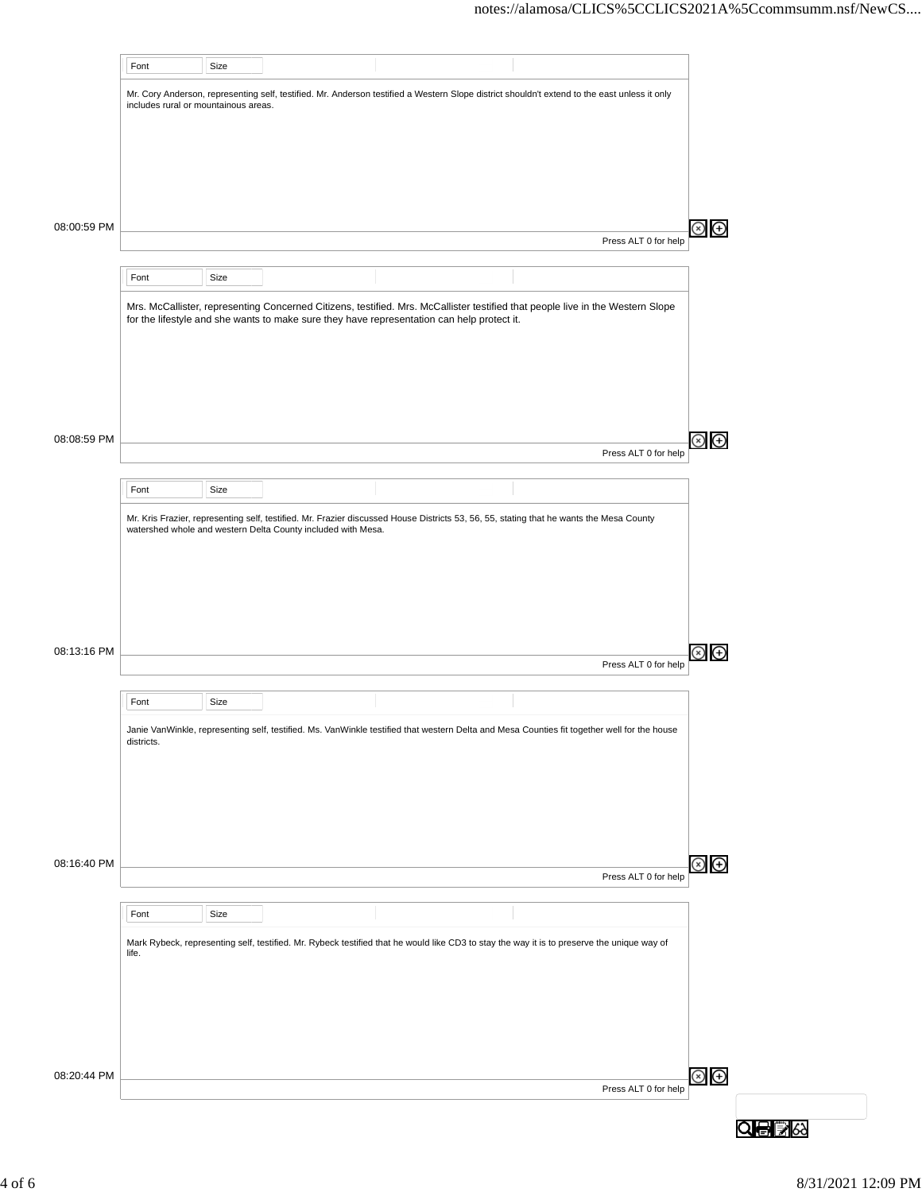|             | Font                                 | Size |                                                              |                                                                                                                                              |                      |                |
|-------------|--------------------------------------|------|--------------------------------------------------------------|----------------------------------------------------------------------------------------------------------------------------------------------|----------------------|----------------|
|             | includes rural or mountainous areas. |      |                                                              | Mr. Cory Anderson, representing self, testified. Mr. Anderson testified a Western Slope district shouldn't extend to the east unless it only |                      |                |
|             |                                      |      |                                                              |                                                                                                                                              |                      |                |
|             |                                      |      |                                                              |                                                                                                                                              |                      |                |
|             |                                      |      |                                                              |                                                                                                                                              |                      |                |
| 08:00:59 PM |                                      |      |                                                              |                                                                                                                                              |                      |                |
|             |                                      |      |                                                              |                                                                                                                                              | Press ALT 0 for help |                |
|             | Font                                 | Size |                                                              |                                                                                                                                              |                      |                |
|             |                                      |      |                                                              | Mrs. McCallister, representing Concerned Citizens, testified. Mrs. McCallister testified that people live in the Western Slope               |                      |                |
|             |                                      |      |                                                              | for the lifestyle and she wants to make sure they have representation can help protect it.                                                   |                      |                |
|             |                                      |      |                                                              |                                                                                                                                              |                      |                |
|             |                                      |      |                                                              |                                                                                                                                              |                      |                |
|             |                                      |      |                                                              |                                                                                                                                              |                      |                |
| 08:08:59 PM |                                      |      |                                                              |                                                                                                                                              |                      |                |
|             |                                      |      |                                                              |                                                                                                                                              | Press ALT 0 for help |                |
|             | Font                                 | Size |                                                              |                                                                                                                                              |                      |                |
|             |                                      |      |                                                              | Mr. Kris Frazier, representing self, testified. Mr. Frazier discussed House Districts 53, 56, 55, stating that he wants the Mesa County      |                      |                |
|             |                                      |      | watershed whole and western Delta County included with Mesa. |                                                                                                                                              |                      |                |
|             |                                      |      |                                                              |                                                                                                                                              |                      |                |
|             |                                      |      |                                                              |                                                                                                                                              |                      |                |
|             |                                      |      |                                                              |                                                                                                                                              |                      |                |
| 08:13:16 PM |                                      |      |                                                              |                                                                                                                                              |                      |                |
|             |                                      |      |                                                              |                                                                                                                                              | Press ALT 0 for help |                |
|             | Font                                 | Size |                                                              |                                                                                                                                              |                      |                |
|             | districts.                           |      |                                                              | Janie VanWinkle, representing self, testified. Ms. VanWinkle testified that western Delta and Mesa Counties fit together well for the house  |                      |                |
|             |                                      |      |                                                              |                                                                                                                                              |                      |                |
|             |                                      |      |                                                              |                                                                                                                                              |                      |                |
|             |                                      |      |                                                              |                                                                                                                                              |                      |                |
|             |                                      |      |                                                              |                                                                                                                                              |                      |                |
| 08:16:40 PM |                                      |      |                                                              |                                                                                                                                              |                      | $\circledast$  |
|             |                                      |      |                                                              |                                                                                                                                              | Press ALT 0 for help |                |
|             | Font                                 | Size |                                                              |                                                                                                                                              |                      |                |
|             | life.                                |      |                                                              | Mark Rybeck, representing self, testified. Mr. Rybeck testified that he would like CD3 to stay the way it is to preserve the unique way of   |                      |                |
|             |                                      |      |                                                              |                                                                                                                                              |                      |                |
|             |                                      |      |                                                              |                                                                                                                                              |                      |                |
|             |                                      |      |                                                              |                                                                                                                                              |                      |                |
|             |                                      |      |                                                              |                                                                                                                                              |                      |                |
| 08:20:44 PM |                                      |      |                                                              |                                                                                                                                              |                      | $\circledcirc$ |
|             |                                      |      |                                                              |                                                                                                                                              | Press ALT 0 for help |                |
|             |                                      |      |                                                              |                                                                                                                                              |                      |                |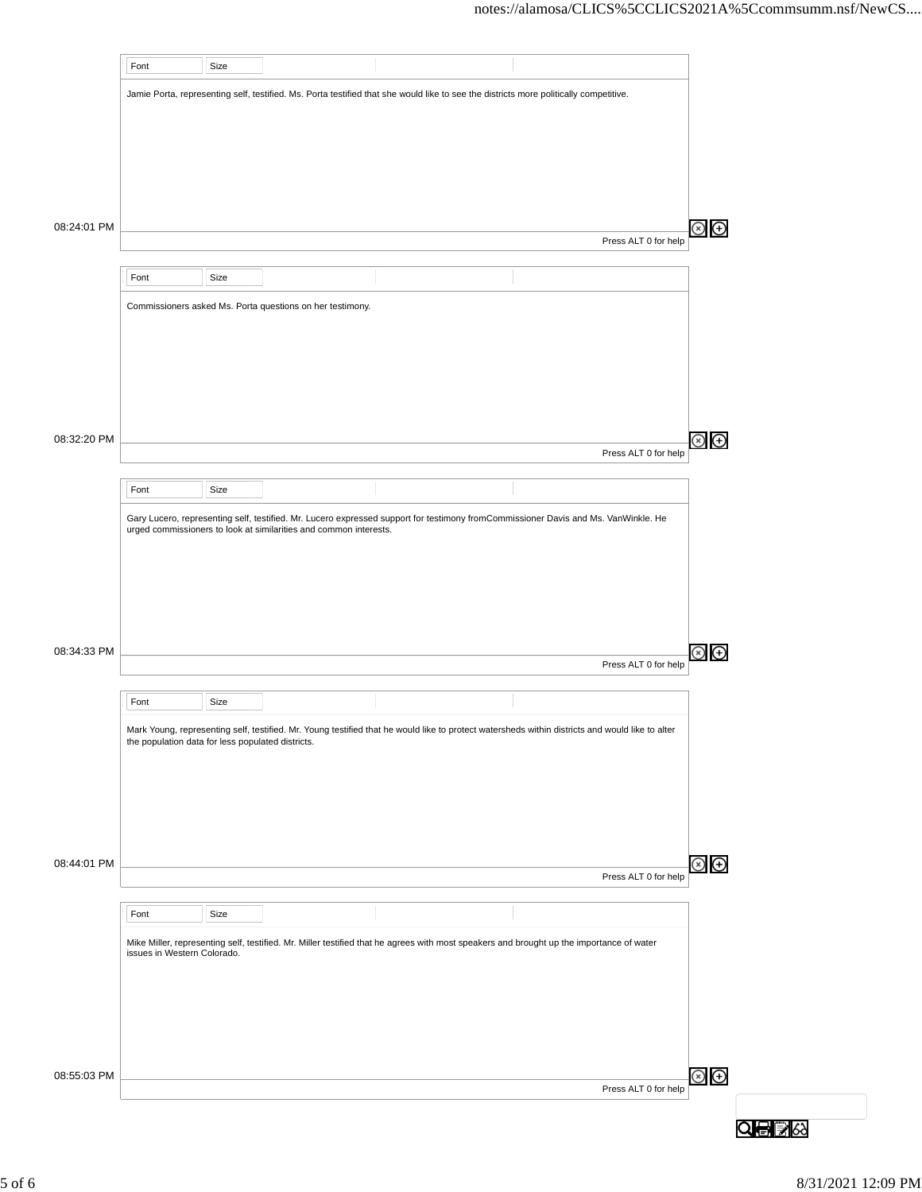|             | Font                                              | Size |                                                                                                                                                 |  |                      |                |
|-------------|---------------------------------------------------|------|-------------------------------------------------------------------------------------------------------------------------------------------------|--|----------------------|----------------|
|             |                                                   |      | Jamie Porta, representing self, testified. Ms. Porta testified that she would like to see the districts more politically competitive.           |  |                      |                |
|             |                                                   |      |                                                                                                                                                 |  |                      |                |
|             |                                                   |      |                                                                                                                                                 |  |                      |                |
|             |                                                   |      |                                                                                                                                                 |  |                      |                |
|             |                                                   |      |                                                                                                                                                 |  |                      |                |
|             |                                                   |      |                                                                                                                                                 |  |                      |                |
|             |                                                   |      |                                                                                                                                                 |  |                      |                |
| 08:24:01 PM |                                                   |      |                                                                                                                                                 |  | Press ALT 0 for help |                |
|             |                                                   |      |                                                                                                                                                 |  |                      |                |
|             | Font                                              | Size |                                                                                                                                                 |  |                      |                |
|             |                                                   |      |                                                                                                                                                 |  |                      |                |
|             |                                                   |      | Commissioners asked Ms. Porta questions on her testimony.                                                                                       |  |                      |                |
|             |                                                   |      |                                                                                                                                                 |  |                      |                |
|             |                                                   |      |                                                                                                                                                 |  |                      |                |
|             |                                                   |      |                                                                                                                                                 |  |                      |                |
|             |                                                   |      |                                                                                                                                                 |  |                      |                |
|             |                                                   |      |                                                                                                                                                 |  |                      |                |
| 08:32:20 PM |                                                   |      |                                                                                                                                                 |  |                      |                |
|             |                                                   |      |                                                                                                                                                 |  | Press ALT 0 for help |                |
|             |                                                   |      |                                                                                                                                                 |  |                      |                |
|             | Font                                              | Size |                                                                                                                                                 |  |                      |                |
|             |                                                   |      | Gary Lucero, representing self, testified. Mr. Lucero expressed support for testimony fromCommissioner Davis and Ms. VanWinkle. He              |  |                      |                |
|             |                                                   |      | urged commissioners to look at similarities and common interests.                                                                               |  |                      |                |
|             |                                                   |      |                                                                                                                                                 |  |                      |                |
|             |                                                   |      |                                                                                                                                                 |  |                      |                |
|             |                                                   |      |                                                                                                                                                 |  |                      |                |
|             |                                                   |      |                                                                                                                                                 |  |                      |                |
|             |                                                   |      |                                                                                                                                                 |  |                      |                |
| 08:34:33 PM |                                                   |      |                                                                                                                                                 |  |                      |                |
|             |                                                   |      |                                                                                                                                                 |  | Press ALT 0 for help |                |
|             | Font                                              | Size |                                                                                                                                                 |  |                      |                |
|             |                                                   |      |                                                                                                                                                 |  |                      |                |
|             | the population data for less populated districts. |      | Mark Young, representing self, testified. Mr. Young testified that he would like to protect watersheds within districts and would like to alter |  |                      |                |
|             |                                                   |      |                                                                                                                                                 |  |                      |                |
|             |                                                   |      |                                                                                                                                                 |  |                      |                |
|             |                                                   |      |                                                                                                                                                 |  |                      |                |
|             |                                                   |      |                                                                                                                                                 |  |                      |                |
|             |                                                   |      |                                                                                                                                                 |  |                      |                |
| 08:44:01 PM |                                                   |      |                                                                                                                                                 |  |                      | $\circledcirc$ |
|             |                                                   |      |                                                                                                                                                 |  | Press ALT 0 for help |                |
|             |                                                   |      |                                                                                                                                                 |  |                      |                |
|             | Font                                              | Size |                                                                                                                                                 |  |                      |                |
|             |                                                   |      | Mike Miller, representing self, testified. Mr. Miller testified that he agrees with most speakers and brought up the importance of water        |  |                      |                |
|             | issues in Western Colorado.                       |      |                                                                                                                                                 |  |                      |                |
|             |                                                   |      |                                                                                                                                                 |  |                      |                |
|             |                                                   |      |                                                                                                                                                 |  |                      |                |
|             |                                                   |      |                                                                                                                                                 |  |                      |                |
|             |                                                   |      |                                                                                                                                                 |  |                      |                |
|             |                                                   |      |                                                                                                                                                 |  |                      |                |
| 08:55:03 PM |                                                   |      |                                                                                                                                                 |  |                      | $\circledcirc$ |
|             |                                                   |      |                                                                                                                                                 |  | Press ALT 0 for help |                |
|             |                                                   |      |                                                                                                                                                 |  |                      |                |
|             |                                                   |      |                                                                                                                                                 |  |                      |                |